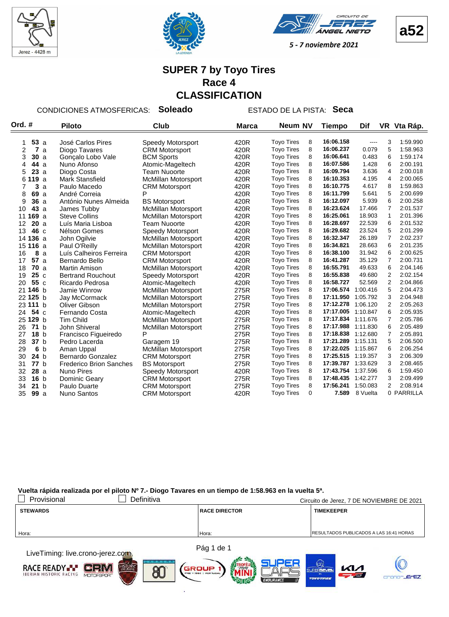





**a52**

#### **SUPER 7 by Toyo Tires Race 4 CLASSIFICATION**

CONDICIONES ATMOSFERICAS: **Soleado** ESTADO DE LA PISTA: **Seca**

| Ord. #                | <b>Piloto</b><br>Club          |                            | <b>Marca</b> | Neum NV           | <b>Tiempo</b> |           | Dif      |                | VR Vta Ráp. |
|-----------------------|--------------------------------|----------------------------|--------------|-------------------|---------------|-----------|----------|----------------|-------------|
|                       |                                |                            |              |                   |               |           |          |                |             |
| 53a<br>1              | José Carlos Pires              | <b>Speedy Motorsport</b>   | 420R         | <b>Toyo Tires</b> | 8             | 16:06.158 | $\cdots$ | 3              | 1:59.990    |
| 2<br>7a               | Diogo Tavares                  | <b>CRM Motorsport</b>      | 420R         | <b>Toyo Tires</b> | 8             | 16:06.237 | 0.079    | 5              | 1:58.963    |
| 3<br>30a              | Gonçalo Lobo Vale              | <b>BCM Sports</b>          | 420R         | <b>Toyo Tires</b> | 8             | 16:06.641 | 0.483    | 6              | 1:59.174    |
| 44 a<br>4             | Nuno Afonso                    | Atomic-Mageltech           | 420R         | <b>Toyo Tires</b> | 8             | 16:07.586 | 1.428    | 6              | 2:00.191    |
| 23a<br>5              | Diogo Costa                    | <b>Team Nuoorte</b>        | 420R         | <b>Toyo Tires</b> | 8             | 16:09.794 | 3.636    | 4              | 2:00.018    |
| 19a<br>61             | Mark Stansfield                | <b>McMillan Motorsport</b> | 420R         | <b>Toyo Tires</b> | 8             | 16:10.353 | 4.195    | 4              | 2:00.065    |
| 3a<br>7               | Paulo Macedo                   | <b>CRM Motorsport</b>      | 420R         | <b>Toyo Tires</b> | 8             | 16:10.775 | 4.617    | 8              | 1:59.863    |
| 8<br>69 a             | André Correia                  | P                          | 420R         | <b>Toyo Tires</b> | 8             | 16:11.799 | 5.641    | 5              | 2:00.699    |
| 9<br>36a              | António Nunes Almeida          | <b>BS Motorsport</b>       | 420R         | <b>Toyo Tires</b> | 8             | 16:12.097 | 5.939    | 6              | 2:00.258    |
| 43a<br>10             | James Tubby                    | <b>McMillan Motorsport</b> | 420R         | <b>Toyo Tires</b> | 8             | 16:23.624 | 17.466   | 7              | 2:01.537    |
| 169 a<br>11           | <b>Steve Collins</b>           | <b>McMillan Motorsport</b> | 420R         | <b>Toyo Tires</b> | 8             | 16:25.061 | 18.903   | 1              | 2:01.396    |
| 20a<br>12             | Luís Maria Lisboa              | <b>Team Nuoorte</b>        | 420R         | <b>Toyo Tires</b> | 8             | 16:28.697 | 22.539   | 6              | 2:01.532    |
| 46 с<br>13            | Nélson Gomes                   | Speedy Motorsport          | 420R         | <b>Toyo Tires</b> | 8             | 16:29.682 | 23.524   | 5              | 2:01.299    |
| 14 136 a              | John Ogilvie                   | <b>McMillan Motorsport</b> | 420R         | <b>Toyo Tires</b> | 8             | 16:32.347 | 26.189   | $\overline{7}$ | 2:02.237    |
| 15 116 a              | Paul O'Reilly                  | <b>McMillan Motorsport</b> | 420R         | <b>Toyo Tires</b> | 8             | 16:34.821 | 28.663   | 6              | 2:01.235    |
| 8a<br>16              | Luís Calheiros Ferreira        | <b>CRM Motorsport</b>      | 420R         | <b>Toyo Tires</b> | 8             | 16:38.100 | 31.942   | 6              | 2:00.625    |
| 57a<br>17             | Bernardo Bello                 | <b>CRM Motorsport</b>      | 420R         | <b>Toyo Tires</b> | 8             | 16:41.287 | 35.129   | $\overline{7}$ | 2:00.731    |
| 70a<br>18             | Martin Amison                  | <b>McMillan Motorsport</b> | 420R         | <b>Toyo Tires</b> | 8             | 16:55.791 | 49.633   | 6              | 2:04.146    |
| 25c<br>19             | <b>Bertrand Rouchout</b>       | Speedy Motorsport          | 420R         | <b>Toyo Tires</b> | 8             | 16:55.838 | 49.680   | $\overline{2}$ | 2:02.154    |
| 55 c<br>20            | Ricardo Pedrosa                | Atomic-Mageltech           | 420R         | <b>Toyo Tires</b> | 8             | 16:58.727 | 52.569   | $\overline{2}$ | 2:04.866    |
| 21 146 b              | Jamie Winrow                   | <b>McMillan Motorsport</b> | 275R         | <b>Toyo Tires</b> | 8             | 17:06.574 | 1:00.416 | 5              | 2:04.473    |
| 22 125 b              | Jay McCormack                  | <b>McMillan Motorsport</b> | 275R         | <b>Toyo Tires</b> | 8             | 17:11.950 | 1:05.792 | 3              | 2:04.948    |
| 23 111 b              | Oliver Gibson                  | <b>McMillan Motorsport</b> | 275R         | <b>Toyo Tires</b> | 8             | 17:12.278 | 1:06.120 | $\overline{2}$ | 2:05.263    |
| 54 c<br>24            | Fernando Costa                 | Atomic-Mageltech           | 420R         | <b>Toyo Tires</b> | 8             | 17:17.005 | 1:10.847 | 6              | 2:05.935    |
| 25 129 b              | <b>Tim Child</b>               | <b>McMillan Motorsport</b> | 275R         | <b>Toyo Tires</b> | 8             | 17:17.834 | 1:11.676 | $\overline{7}$ | 2:05.786    |
| 26<br>71 b            | John Shiveral                  | <b>McMillan Motorsport</b> | 275R         | <b>Toyo Tires</b> | 8             | 17:17.988 | 1:11.830 | 6              | 2:05.489    |
| 18 <sub>b</sub><br>27 | Francisco Figueiredo           | P                          | 275R         | <b>Toyo Tires</b> | 8             | 17:18.838 | 1:12.680 | $\overline{7}$ | 2:05.891    |
| 28<br>37 <sub>b</sub> | Pedro Lacerda                  | Garagem 19                 | 275R         | <b>Toyo Tires</b> | 8             | 17:21.289 | 1:15.131 | 5              | 2:06.500    |
| 6 <sub>b</sub><br>29  | Aman Uppal                     | <b>McMillan Motorsport</b> | 275R         | <b>Toyo Tires</b> | 8             | 17:22.025 | 1:15.867 | 6              | 2:06.254    |
| 24 b<br>30            | Bernardo Gonzalez              | <b>CRM Motorsport</b>      | 275R         | <b>Toyo Tires</b> | 8             | 17:25.515 | 1:19.357 | 3              | 2:06.309    |
| 77 <sub>b</sub><br>31 | <b>Frederico Brion Sanches</b> | <b>BS Motorsport</b>       | 275R         | <b>Toyo Tires</b> | 8             | 17:39.787 | 1:33.629 | 3              | 2:08.465    |
| 28a<br>32             | <b>Nuno Pires</b>              | <b>Speedy Motorsport</b>   | 420R         | <b>Toyo Tires</b> | 8             | 17:43.754 | 1:37.596 | 6              | 1:59.450    |
| 16 <sub>b</sub><br>33 | Dominic Geary                  | <b>CRM Motorsport</b>      | 275R         | <b>Toyo Tires</b> | 8             | 17:48.435 | 1:42.277 | 3              | 2:09.499    |
| 21 b<br>34            | Paulo Duarte                   | <b>CRM Motorsport</b>      | 275R         | <b>Toyo Tires</b> | 8             | 17:56.241 | 1:50.083 | $\overline{2}$ | 2:08.914    |
| 35<br>99a             | <b>Nuno Santos</b>             | <b>CRM Motorsport</b>      | 420R         | <b>Toyo Tires</b> | $\Omega$      | 7.589     | 8 Vuelta |                | 0 PARRILLA  |

| Provisional                                                                                                                                                                                                                   | Definitiva |                      | Circuito de Jerez, 7 DE NOVIEMBRE DE 2021       |
|-------------------------------------------------------------------------------------------------------------------------------------------------------------------------------------------------------------------------------|------------|----------------------|-------------------------------------------------|
| <b>STEWARDS</b>                                                                                                                                                                                                               |            | <b>RACE DIRECTOR</b> | <b>TIMEKEEPER</b>                               |
|                                                                                                                                                                                                                               |            |                      |                                                 |
| Hora:                                                                                                                                                                                                                         |            | Hora:                | <b>IRESULTADOS PUBLICADOS A LAS 16:41 HORAS</b> |
| the company of the company of the company of the company of the company of the company of the company of the company of the company of the company of the company of the company of the company of the company of the company |            | Pág 1 de 1           |                                                 |

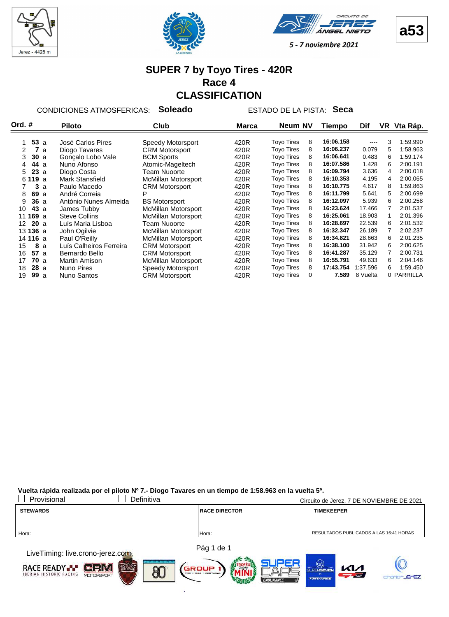







#### **SUPER 7 by Toyo Tires - 420R Race 4 CLASSIFICATION**

CONDICIONES ATMOSFERICAS: **Soleado** ESTADO DE LA PISTA: **Seca**

| Ord. #                  | <b>Piloto</b><br>Club   |                            | Marca | <b>Neum NV</b>    |   | Tiempo    | Dif      | VR | Vta Ráp.   |
|-------------------------|-------------------------|----------------------------|-------|-------------------|---|-----------|----------|----|------------|
|                         |                         |                            |       |                   |   |           |          |    |            |
| 53a                     | José Carlos Pires       | Speedy Motorsport          | 420R  | <b>Toyo Tires</b> | 8 | 16:06.158 | $---$    | 3  | 1:59.990   |
| 7<br>$\mathcal{P}$<br>a | Diogo Tavares           | <b>CRM Motorsport</b>      | 420R  | <b>Toyo Tires</b> | 8 | 16:06.237 | 0.079    | 5  | 1:58.963   |
| 30a<br>3                | Goncalo Lobo Vale       | <b>BCM Sports</b>          | 420R  | <b>Toyo Tires</b> | 8 | 16:06.641 | 0.483    | 6  | 1:59.174   |
| 44 a<br>4               | Nuno Afonso             | Atomic-Mageltech           | 420R  | <b>Toyo Tires</b> | 8 | 16:07.586 | 1.428    | 6  | 2:00.191   |
| 23a<br>5                | Diogo Costa             | <b>Team Nuoorte</b>        | 420R  | <b>Toyo Tires</b> | 8 | 16:09.794 | 3.636    | 4  | 2:00.018   |
| 6 119 a                 | Mark Stansfield         | <b>McMillan Motorsport</b> | 420R  | <b>Toyo Tires</b> | 8 | 16:10.353 | 4.195    | 4  | 2:00.065   |
| 3<br>a                  | Paulo Macedo            | <b>CRM Motorsport</b>      | 420R  | <b>Toyo Tires</b> | 8 | 16:10.775 | 4.617    | 8  | 1:59.863   |
| 69 a<br>8               | André Correia           | P                          | 420R  | <b>Tovo Tires</b> | 8 | 16:11.799 | 5.641    | 5  | 2:00.699   |
| 36a<br>9                | António Nunes Almeida   | <b>BS Motorsport</b>       | 420R  | <b>Toyo Tires</b> | 8 | 16:12.097 | 5.939    | 6  | 2:00.258   |
| <b>43</b> a<br>10       | James Tubby             | <b>McMillan Motorsport</b> | 420R  | <b>Toyo Tires</b> | 8 | 16:23.624 | 17.466   |    | 2:01.537   |
| 11 169 a                | <b>Steve Collins</b>    | <b>McMillan Motorsport</b> | 420R  | <b>Toyo Tires</b> | 8 | 16:25.061 | 18.903   |    | 2:01.396   |
| 20a<br>12 <sup>2</sup>  | Luís Maria Lisboa       | <b>Team Nuoorte</b>        | 420R  | <b>Toyo Tires</b> | 8 | 16:28.697 | 22.539   | 6  | 2:01.532   |
| 13 136 a                | John Ogilvie            | McMillan Motorsport        | 420R  | <b>Toyo Tires</b> | 8 | 16:32.347 | 26.189   | 7  | 2:02.237   |
| 14 116 a                | Paul O'Reilly           | <b>McMillan Motorsport</b> | 420R  | <b>Toyo Tires</b> | 8 | 16:34.821 | 28.663   | 6  | 2:01.235   |
| 8<br>15<br>a            | Luís Calheiros Ferreira | <b>CRM Motorsport</b>      | 420R  | <b>Toyo Tires</b> | 8 | 16:38.100 | 31.942   | 6  | 2:00.625   |
| 57a<br>16               | Bernardo Bello          | <b>CRM Motorsport</b>      | 420R  | <b>Toyo Tires</b> | 8 | 16:41.287 | 35.129   |    | 2:00.731   |
| 70a<br>17               | <b>Martin Amison</b>    | <b>McMillan Motorsport</b> | 420R  | <b>Toyo Tires</b> | 8 | 16:55.791 | 49.633   | 6  | 2:04.146   |
| 28a<br>18               | <b>Nuno Pires</b>       | Speedy Motorsport          | 420R  | <b>Toyo Tires</b> | 8 | 17:43.754 | 1:37.596 | 6  | 1:59.450   |
| 19<br>99a               | Nuno Santos             | <b>CRM Motorsport</b>      | 420R  | <b>Toyo Tires</b> | 0 | 7.589     | 8 Vuelta |    | 0 PARRILLA |

| Provisional                                                                                                                                                                                                                   | Definitiva |                      | Circuito de Jerez, 7 DE NOVIEMBRE DE 2021       |
|-------------------------------------------------------------------------------------------------------------------------------------------------------------------------------------------------------------------------------|------------|----------------------|-------------------------------------------------|
| <b>STEWARDS</b>                                                                                                                                                                                                               |            | <b>RACE DIRECTOR</b> | <b>TIMEKEEPER</b>                               |
|                                                                                                                                                                                                                               |            |                      |                                                 |
| Hora:                                                                                                                                                                                                                         |            | Hora:                | <b>IRESULTADOS PUBLICADOS A LAS 16:41 HORAS</b> |
|                                                                                                                                                                                                                               |            |                      |                                                 |
| the company of the company of the company of the company of the company of the company of the company of the company of the company of the company of the company of the company of the company of the company of the company |            | Pág 1 de 1           |                                                 |

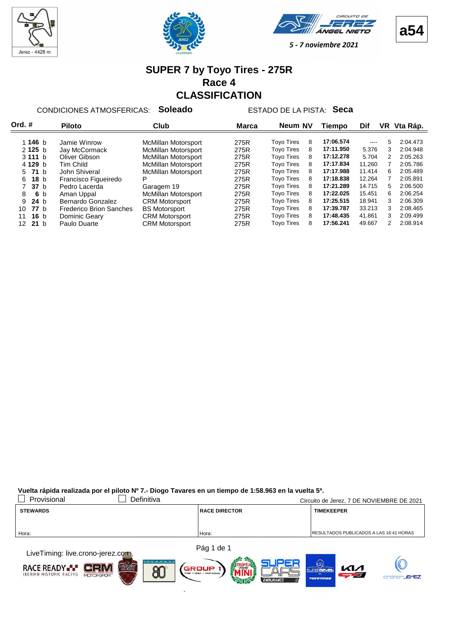







#### **SUPER 7 by Toyo Tires - 275R Race 4 CLASSIFICATION**

CONDICIONES ATMOSFERICAS: **Soleado** ESTADO DE LA PISTA: **Seca**

| Ord. #                 | <b>Piloto</b>                  | Club                       | <b>Marca</b> | Neum NV           |   | Tiempo    | Dif           |    | VR Vta Ráp. |
|------------------------|--------------------------------|----------------------------|--------------|-------------------|---|-----------|---------------|----|-------------|
|                        |                                |                            |              |                   |   |           |               |    |             |
| 1 146 $b$              | Jamie Winrow                   | McMillan Motorsport        | 275R         | <b>Toyo Tires</b> | 8 | 17:06.574 | $\frac{1}{2}$ | 5  | 2:04.473    |
| 2125 b                 | Jay McCormack                  | <b>McMillan Motorsport</b> | 275R         | <b>Toyo Tires</b> | 8 | 17:11.950 | 5.376         | 3  | 2:04.948    |
| 3111 b                 | Oliver Gibson                  | <b>McMillan Motorsport</b> | 275R         | <b>Toyo Tires</b> | 8 | 17:12.278 | 5.704         | 2  | 2:05.263    |
| 4 129 b                | Tim Child                      | <b>McMillan Motorsport</b> | 275R         | <b>Toyo Tires</b> | 8 | 17:17.834 | 11.260        |    | 2:05.786    |
| 5 71 b                 | John Shiveral                  | <b>McMillan Motorsport</b> | 275R         | <b>Tovo Tires</b> | 8 | 17:17.988 | 11.414        | 6  | 2:05.489    |
| 18 <sub>b</sub><br>6.  | Francisco Figueiredo           | P                          | 275R         | <b>Tovo Tires</b> | 8 | 17:18.838 | 12.264        |    | 2:05.891    |
| 37 <sub>b</sub>        | Pedro Lacerda                  | Garagem 19                 | 275R         | <b>Tovo Tires</b> | 8 | 17:21.289 | 14.715        | 5. | 2:06.500    |
| 6 b<br>8               | Aman Uppal                     | McMillan Motorsport        | 275R         | <b>Toyo Tires</b> | 8 | 17:22.025 | 15.451        | 6  | 2:06.254    |
| 24 <sub>b</sub><br>9   | Bernardo Gonzalez              | <b>CRM Motorsport</b>      | 275R         | <b>Toyo Tires</b> | 8 | 17:25.515 | 18.941        | 3  | 2:06.309    |
| <b>77</b> b<br>10      | <b>Frederico Brion Sanches</b> | <b>BS Motorsport</b>       | 275R         | <b>Toyo Tires</b> | 8 | 17:39.787 | 33.213        | 3  | 2:08.465    |
| 16 <sub>b</sub><br>11  | Dominic Geary                  | <b>CRM Motorsport</b>      | 275R         | <b>Tovo Tires</b> | 8 | 17:48.435 | 41.861        | 3  | 2:09.499    |
| 21 <sub>b</sub><br>12. | Paulo Duarte                   | <b>CRM Motorsport</b>      | 275R         | <b>Tovo Tires</b> | 8 | 17:56.241 | 49.667        | 2  | 2:08.914    |

| Provisional                                                                                                                                                                                                                   | Definitiva |                      | Circuito de Jerez, 7 DE NOVIEMBRE DE 2021 |
|-------------------------------------------------------------------------------------------------------------------------------------------------------------------------------------------------------------------------------|------------|----------------------|-------------------------------------------|
| <b>STEWARDS</b>                                                                                                                                                                                                               |            | <b>RACE DIRECTOR</b> | <b>TIMEKEEPER</b>                         |
|                                                                                                                                                                                                                               |            |                      |                                           |
|                                                                                                                                                                                                                               |            |                      | RESULTADOS PUBLICADOS A LAS 16:41 HORAS   |
| Hora:                                                                                                                                                                                                                         |            | Hora:                |                                           |
| the company of the company of the company of the company of the company of the company of the company of the company of the company of the company of the company of the company of the company of the company of the company |            | Pág 1 de 1           |                                           |

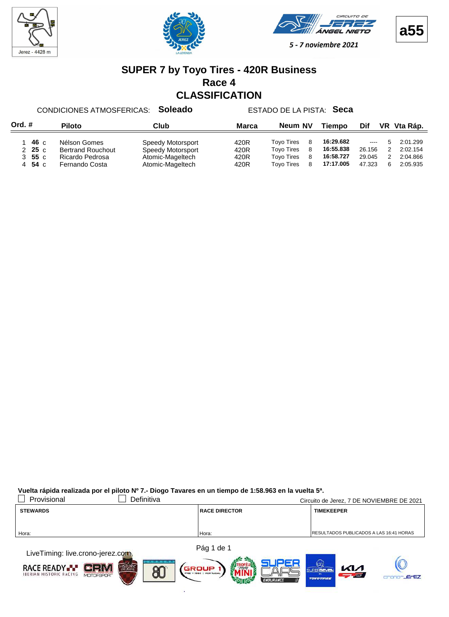







#### **SUPER 7 by Toyo Tires - 420R Business Race 4 CLASSIFICATION**

CONDICIONES ATMOSFERICAS: **Soleado** ESTADO DE LA PISTA: **Seca**

| Ord. #                                          | <b>Piloto</b>                                                                 | Club                                                                           | Marca                        | Neum NV                                                                          |                     | <b>Tiempo</b>                                    | Dif                                                       | VR Vta Ráp. |                                              |
|-------------------------------------------------|-------------------------------------------------------------------------------|--------------------------------------------------------------------------------|------------------------------|----------------------------------------------------------------------------------|---------------------|--------------------------------------------------|-----------------------------------------------------------|-------------|----------------------------------------------|
| 46 c<br>25c<br>$3\quad55\text{ c}$<br>54 с<br>4 | Nélson Gomes<br><b>Bertrand Rouchout</b><br>Ricardo Pedrosa<br>Fernando Costa | Speedy Motorsport<br>Speedy Motorsport<br>Atomic-Mageltech<br>Atomic-Mageltech | 420R<br>420R<br>420R<br>420R | <b>Tovo Tires</b><br><b>Tovo Tires</b><br><b>Tovo Tires</b><br><b>Tovo Tires</b> | -8<br>-8<br>-8<br>8 | 16:29.682<br>16:55.838<br>16:58.727<br>17:17.005 | $\sim$ $\sim$ $\sim$ $\sim$<br>26.156<br>29.045<br>47.323 | - 5<br>6    | 2:01.299<br>2:02.154<br>2:04.866<br>2:05.935 |

| Provisional                                                                                                                                                                                                                   | Definitiva |                      | Circuito de Jerez, 7 DE NOVIEMBRE DE 2021       |
|-------------------------------------------------------------------------------------------------------------------------------------------------------------------------------------------------------------------------------|------------|----------------------|-------------------------------------------------|
| <b>STEWARDS</b>                                                                                                                                                                                                               |            | <b>RACE DIRECTOR</b> | <b>TIMEKEEPER</b>                               |
|                                                                                                                                                                                                                               |            |                      |                                                 |
| Hora:                                                                                                                                                                                                                         |            | Hora:                | <b>IRESULTADOS PUBLICADOS A LAS 16:41 HORAS</b> |
|                                                                                                                                                                                                                               |            |                      |                                                 |
| the company of the company of the company of the company of the company of the company of the company of the company of the company of the company of the company of the company of the company of the company of the company |            | Pág 1 de 1           |                                                 |

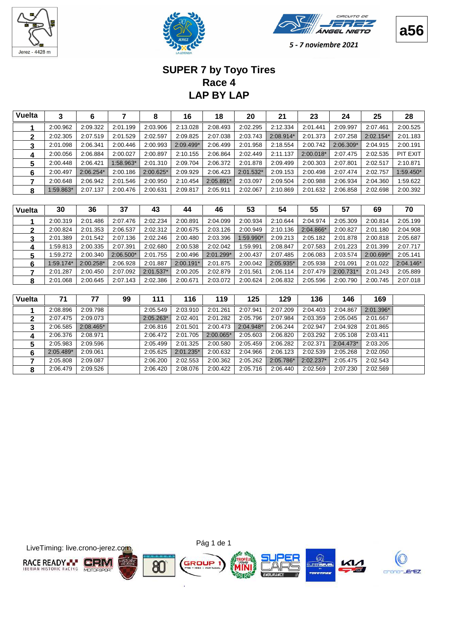







# **LAP BY LAP Race 4 SUPER 7 by Toyo Tires**

| <b>Vuelta</b> | 3         | 6           |           | 8           | 16        | 18          | 20          | 21        | 23          | 24          | 25        | 28        |
|---------------|-----------|-------------|-----------|-------------|-----------|-------------|-------------|-----------|-------------|-------------|-----------|-----------|
|               | 2:00.962  | 2:09.322    | 2:01.199  | 2:03.906    | 2:13.028  | 2:08.493    | 2:02.295    | 2:12.334  | 2:01.441    | 2:09.997    | 2:07.461  | 2:00.525  |
| 2             | 2:02.305  | 2:07.519    | 2:01.529  | 2:02.597    | 2:09.825  | 2:07.038    | 2:03.743    | 2:08.914* | 2:01.373    | 2:07.258    | 2:02.154* | 2:01.183  |
| 3             | 2:01.098  | 2:06.341    | 2:00.446  | 2:00.993    | 2:09.499* | 2:06.499    | 2:01.958    | 2:18.554  | 2:00.742    | $2:06.309*$ | 2:04.915  | 2:00.191  |
| 4             | 2:00.056  | 2:06.884    | 2:00.027  | 2:00.897    | 2:10.155  | 2:06.864    | 2:02.449    | 2:11.137  | $2:00.018*$ | 2:07.475    | 2:02.535  | PIT EXIT  |
| 5             | 2:00.448  | 2:06.421    | 1.58.963* | 2:01.310    | 2:09.704  | 2:06.372    | 2:01.878    | 2:09.499  | 2:00.303    | 2:07.801    | 2:02.517  | 2:10.871  |
| 6             | 2:00.497  | $2:06.254*$ | 2:00.186  | $2:00.625*$ | 2:09.929  | 2:06.423    | $2:01.532*$ | 2:09.153  | 2:00.498    | 2:07.474    | 2:02.757  | 1:59.450* |
|               | 2:00.648  | 2:06.942    | 2:01.546  | 2:00.950    | 2:10.454  | $2:05.891*$ | 2:03.097    | 2:09.504  | 2:00.988    | 2:06.934    | 2:04.360  | 1:59.622  |
| 8             | 1:59.863* | 2:07.137    | 2:00.476  | 2:00.631    | 2:09.817  | 2:05.911    | 2:02.067    | 2:10.869  | 2:01.632    | 2:06.858    | 2:02.698  | 2:00.392  |
|               |           |             |           |             |           |             |             |           |             |             |           |           |

| Vuelta | 30          | 36        | 37          | 43          | 44          | 46          | 53        | 54        | 55        | 57        | 69          | 70          |
|--------|-------------|-----------|-------------|-------------|-------------|-------------|-----------|-----------|-----------|-----------|-------------|-------------|
|        | 2:00.319    | 2:01.486  | 2:07.476    | 2:02.234    | 2:00.891    | 2:04.099    | 2:00.934  | 2:10.644  | 2:04.974  | 2:05.309  | 2:00.814    | 2:05.199    |
| 2      | 2:00.824    | 2:01.353  | 2:06.537    | 2:02.312    | 2:00.675    | 2:03.126    | 2:00.949  | 2:10.136  | 2:04.866* | 2:00.827  | 2:01.180    | 2:04.908    |
| 3      | 2:01.389    | 2:01.542  | 2:07.136    | 2:02.246    | 2:00.480    | 2:03.396    | 1:59.990* | 2:09.213  | 2:05.182  | 2:01.878  | 2:00.818    | 2:05.687    |
|        | 1:59.813    | 2:00.335  | 2:07.391    | 2:02.680    | 2:00.538    | 2:02.042    | 1:59.991  | 2:08.847  | 2:07.583  | 2:01.223  | 2:01.399    | 2:07.717    |
| 5      | 1:59.272    | 2:00.340  | $2:06.500*$ | 2:01.755    | 2:00.496    | $2:01.299*$ | 2:00.437  | 2:07.485  | 2:06.083  | 2:03.574  | $2:00.699*$ | 2:05.141    |
| 6      | $1:59.174*$ | 2:00.258* | 2:06.928    | 2:01.887    | $2:00.191*$ | 2:01.875    | 2:00.042  | 2:05.935* | 2:05.938  | 2:01.091  | 2:01.022    | $2:04.146*$ |
|        | 2:01.287    | 2:00.450  | 2:07.092    | $2:01.537*$ | 2:00.205    | 2:02.879    | 2:01.561  | 2:06.114  | 2:07.479  | 2:00.731* | 2:01.243    | 2:05.889    |
| 8      | 2:01.068    | 2:00.645  | 2:07.143    | 2:02.386    | 2:00.671    | 2:03.072    | 2:00.624  | 2:06.832  | 2:05.596  | 2:00.790  | 2:00.745    | 2:07.018    |

| <b>Vuelta</b> | 71        | 77          | 99 | 111         | 116         | 119       | 125         | 129       | 136         | 146         | 169       |  |
|---------------|-----------|-------------|----|-------------|-------------|-----------|-------------|-----------|-------------|-------------|-----------|--|
|               | 2:08.896  | 2:09.798    |    | 2:05.549    | 2:03.910    | 2:01.261  | 2:07.941    | 2:07.209  | 2:04.403    | 2:04.867    | 2:01.396* |  |
| 2             | 2:07.475  | 2:09.073    |    | $2:05.263*$ | 2:02.401    | 2:01.282  | 2:05.796    | 2:07.984  | 2:03.359    | 2:05.045    | 2:01.667  |  |
| 3             | 2:06.585  | $2:08.465*$ |    | 2:06.816    | 2:01.501    | 2:00.473  | $2:04.948*$ | 2:06.244  | 2:02.947    | 2:04.928    | 2:01.865  |  |
| 4             | 2:06.376  | 2:08.971    |    | 2:06.472    | 2:01.705    | 2:00.065* | 2:05.603    | 2:06.820  | 2:03.292    | 2:05.108    | 2:03.411  |  |
| 5             | 2:05.983  | 2:09.596    |    | 2:05.499    | 2:01.325    | 2:00.580  | 2:05.459    | 2:06.282  | 2:02.371    | $2:04.473*$ | 2:03.205  |  |
| 6             | 2:05.489* | 2:09.061    |    | 2:05.625    | $2:01.235*$ | 2:00.632  | 2:04.966    | 2:06.123  | 2:02.539    | 2:05.268    | 2:02.050  |  |
|               | 2:05.808  | 2:09.087    |    | 2:06.200    | 2:02.553    | 2:00.362  | 2:05.262    | 2:05.786* | $2:02.237*$ | 2:05.475    | 2:02.543  |  |
| 8             | 2:06.479  | 2:09.526    |    | 2:06.420    | 2:08.076    | 2:00.422  | 2:05.716    | 2:06.440  | 2:02.569    | 2:07.230    | 2:02.569  |  |

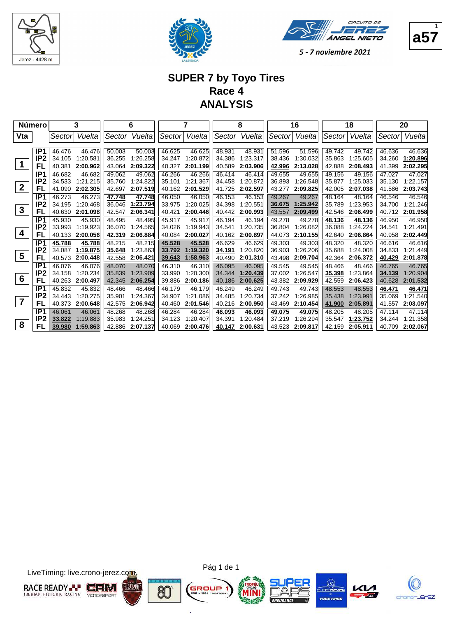





1

5 - 7 noviembre 2021

### **SUPER 7 by Toyo Tires Race 4 ANALYSIS**

|                  | Número                             |                  | 3                  |                  | 6                  |                  | 7                  |                  | 8                  |                  | 16                 |                  | 18                 |                  | 20                 |
|------------------|------------------------------------|------------------|--------------------|------------------|--------------------|------------------|--------------------|------------------|--------------------|------------------|--------------------|------------------|--------------------|------------------|--------------------|
| Vta              |                                    | Sector           | Vuelta             | Sector           | Vuelta             | Sector           | Vuelta             | Sector           | Vuelta             | Sector           | Vuelta             | Sector           | Vuelta             | Sector           | Vuelta             |
|                  |                                    |                  |                    |                  |                    |                  |                    |                  |                    |                  |                    |                  |                    |                  |                    |
|                  | IP <sub>1</sub><br>IP <sub>2</sub> | 46.476<br>34.105 | 46.476<br>1:20.581 | 50.003<br>36.255 | 50.003<br>1:26.258 | 46.625<br>34.247 | 46.625<br>1:20.872 | 48.931<br>34.386 | 48.931<br>1:23.317 | 51.596<br>38.436 | 51.596<br>1:30.032 | 49.742<br>35.863 | 49.742<br>1:25.605 | 46.636<br>34.260 | 46.636<br>1:20.896 |
| 1                | FL                                 | 40.381           | 2:00.962           | 43.064           | 2:09.322           | 40.327           | 2:01.199           | 40.589           | 2:03.906           | 42.996           | 2:13.028           | 42.888           | 2:08.493           | 41.399           | 2:02.295           |
|                  | IP <sub>1</sub>                    |                  | 46.682             | 49.062           | 49.062             | 46.266           | 46.266             | 46.414           | 46.414             | 49.655           |                    | 49.156           | 49.156             | 47.027           |                    |
|                  | IP <sub>2</sub>                    | 46.682<br>34.533 | 1:21.215           | 35.760           | 1:24.822           | 35.101           | 1:21.367           | 34.458           | 1:20.872           | 36.893           | 49.655<br>1:26.548 | 35.877           | 1:25.033           | 35.130           | 47.027<br>1:22.157 |
| $\boldsymbol{2}$ | FL                                 | 41.090           | 2:02.305           | 42.697           | 2:07.519           | 40.162           | 2:01.529           | 41.725           | 2:02.597           | 43.277           | 2:09.825           | 42.005           | 2:07.038           | 41.586           | 2:03.743           |
|                  | IP <sub>1</sub>                    |                  |                    |                  |                    |                  |                    |                  |                    |                  |                    |                  |                    |                  |                    |
|                  | IP <sub>2</sub>                    | 46.273<br>34.195 | 46.273<br>1:20.468 | 47.748<br>36.046 | 47.748<br>1:23.794 | 46.050<br>33.975 | 46.050<br>1:20.025 | 46.153<br>34.398 | 46.153<br>1:20.551 | 49.267<br>36.675 | 49.267<br>1:25.942 | 48.164<br>35.789 | 48.164<br>1:23.953 | 46.546<br>34.700 | 46.546<br>1:21.246 |
| 3                | FL                                 | 40.630           | 2:01.098           | 42.547           | 2:06.341           | 40.421           | 2:00.446           | 40.442           | 2:00.993           | 43.557           | 2:09.499           | 42.546           | 2:06.499           | 40.712           | 2:01.958           |
|                  | IP <sub>1</sub>                    | 45.930           | 45.930             | 48.495           | 48.495             | 45.917           | 45.917             | 46.194           | 46.194             | 49.278           | 49.278             | 48.136           | 48.136             | 46.950           | 46.950             |
|                  | IP <sub>2</sub>                    | 33.993           | 1:19.923           | 36.070           | 1:24.565           | 34.026           | 1:19.943           | 34.541           | 1:20.735           | 36.804           | 1:26.082           | 36.088           | 1:24.224           | 34.541           | 1:21.491           |
| 4                | FL                                 | 40.133           | 2:00.056           | 42.319           | 2:06.884           | 40.084           | 2:00.027           | 40.162           | 2:00.897           | 44.073           | 2:10.155           | 42.640           | 2:06.864           | 40.958           | 2:02.449           |
|                  | IP <sub>1</sub>                    |                  | 45.788             | 48.215           | 48.215             | 45.528           | 45.528             | 46.629           | 46.629             | 49.303           | 49.303             | 48.320           | 48.320             | 46.616           | 46.616             |
|                  | IP <sub>2</sub>                    | 45.788<br>34.087 | 1:19.875           | 35.648           | 1:23.863           | 33.792           | 1:19.320           | 34.191           | 1:20.820           | 36.903           | 1:26.206           | 35.688           | 1:24.008           | 34.833           | 1:21.449           |
| 5                | FL                                 | 40.573           | 2:00.448           | 42.558           | 2:06.421           | 39.643           | 1:58.963           | 40.490           | 2:01.310           | 43.498           | 2:09.704           | 42.364           | 2:06.372           | 40.429           | 2:01.878           |
|                  | IP1                                | 46.076           | 46.076             | 48.070           | 48.070             | 46.310           | 46.310             | 46.095           | 46.095             | 49.545           | 49.545             | 48.466           | 48.466             | 46.765           | 46.765             |
|                  | IP <sub>2</sub>                    | 34.158           | 1:20.234           | 35.839           | 1:23.909           | 33.990           | 1:20.300           | 34.344           | 1:20.439           | 37.002           | 1:26.547           | 35.398           | 1:23.864           | 34.139           | 1:20.904           |
| $6\phantom{1}6$  | FL                                 | 40.263           | 2:00.497           | 42.345           | 2:06.254           | 39.886           | 2:00.186           | 40.186           | 2:00.625           | 43.382           | 2:09.929           | 42.559           | 2:06.423           | 40.628           | 2:01.532           |
|                  | IP1                                | 45.832           | 45.832             | 48.466           | 48.466             | 46.179           | 46.179             | 46.249           | 46.249             | 49.743           | 49.743             | 48.553           | 48.553             | 46.471           | 46.471             |
|                  | IP <sub>2</sub>                    | 34.443           | 1:20.275           | 35.901           | 1:24.367           | 34.907           | 1:21.086           | 34.485           | 1:20.734           | 37.242           | 1:26.985           | 35.438           | 1:23.991           | 35.069           | 1:21.540           |
| $\overline{7}$   | FL                                 | 40.373           | 2:00.648           | 42.575           | 2:06.942           | 40.460           | 2:01.546           | 40.216           | 2:00.950           | 43.469           | 2:10.454           | 41.900           | 2:05.891           | 41.557           | 2:03.097           |
|                  | IP <sub>1</sub>                    | 46.061           | 46.061             | 48.268           | 48.268             | 46.284           | 46.284             | 46.093           | 46.093             | 49.075           | 49.075             | 48.205           | 48.205             | 47.114           | 47.114             |
|                  | IP <sub>2</sub>                    | 33.822           | 1:19.883           | 35.983           | 1:24.251           | 34.123           | 1:20.407           | 34.391           | 1:20.484           | 37.219           | 1:26.294           | 35.547           | 1:23.752           | 34.244           | 1:21.358           |
| 8                | FL                                 | 39.980           | 1:59.863           | 42.886           | 2:07.137           | 40.069           | 2:00.476           | 40.147           | 2:00.631           | 43.523           | 2:09.817           | 42.159           | 2:05.911           | 40.709           | 2:02.067           |

LiveTiming: live.crono-jerez.com





G

ä







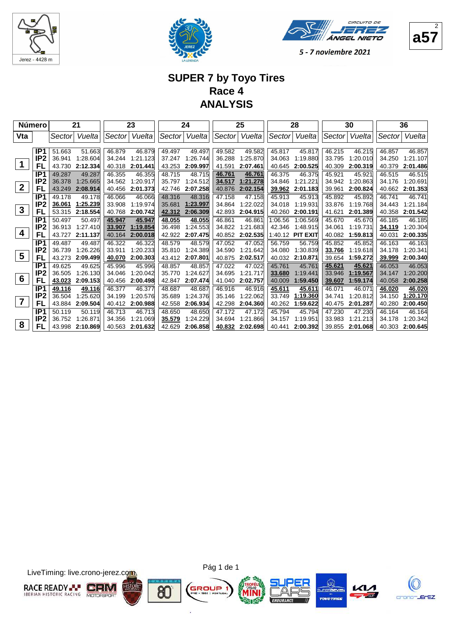





#### **SUPER 7 by Toyo Tires Race 4 ANALYSIS**

|                  | <b>Número</b>   | 21<br>23 |          |        | 24       |        | 25       |        | 28       |         | 30              |        | 36       |        |          |
|------------------|-----------------|----------|----------|--------|----------|--------|----------|--------|----------|---------|-----------------|--------|----------|--------|----------|
| Vta              |                 | Sector   | Vueltal  | Sector | Vuelta   | Sector | Vuelta   | Sector | Vuelta   | Sector  | Vuelta          | Sector | Vueltal  | Sector | Vuelta   |
|                  |                 |          |          |        |          |        |          |        |          |         |                 |        |          |        |          |
|                  | IP1             | 51.663   | 51.663   | 46.879 | 46.879   | 49.497 | 49.497   | 49.582 | 49.582   | 45.817  | 45.817          | 46.215 | 46.215   | 46.857 | 46.857   |
|                  | IP <sub>2</sub> | 36.941   | 1:28.604 | 34.244 | 1:21.123 | 37.247 | 1:26.744 | 36.288 | 1:25.870 | 34.063  | 1:19.880        | 33.795 | 1:20.010 | 34.250 | 1:21.107 |
| 1                | FL              | 43.730   | 2:12.334 | 40.318 | 2:01.441 | 43.253 | 2:09.997 | 41.591 | 2:07.461 | 40.645  | 2:00.525        | 40.309 | 2:00.319 | 40.379 | 2:01.486 |
|                  | IP <sub>1</sub> | 49.287   | 49.287   | 46.355 | 46.355   | 48.715 | 48.715   | 46.761 | 46.761   | 46.375  | 46.375          | 45.921 | 45.921   | 46.515 | 46.515   |
|                  | IP <sub>2</sub> | 36.378   | 1:25.665 | 34.562 | 1:20.917 | 35.797 | 1:24.512 | 34.517 | 1:21.278 | 34.846  | 1:21.221        | 34.942 | 1:20.863 | 34.176 | 1:20.691 |
| $\boldsymbol{2}$ | FL              | 43.249   | 2:08.914 | 40.456 | 2:01.373 | 42.746 | 2:07.258 | 40.876 | 2:02.154 | 39.962  | 2:01.183        | 39.961 | 2:00.824 | 40.662 | 2:01.353 |
|                  | IP <sub>1</sub> | 49.178   | 49.178   | 46.066 | 46.066   | 48.316 | 48.316   | 47.158 | 47.158   | 45.913  | 45.913          | 45.892 | 45.892   | 46.741 | 46.741   |
|                  | IP <sub>2</sub> | 36.061   | 1:25.239 | 33.908 | 1:19.974 | 35.681 | 1:23.997 | 34.864 | 1:22.022 | 34.018  | 1:19.931        | 33.876 | 1:19.768 | 34.443 | 1:21.184 |
| $\mathbf{3}$     | FL              | 53.315   | 2:18.554 | 40.768 | 2:00.742 | 42.312 | 2:06.309 | 42.893 | 2:04.915 | 40.260  | 2:00.191        | 41.621 | 2:01.389 | 40.358 | 2:01.542 |
|                  | IP <sub>1</sub> | 50.497   | 50.497   | 45.947 | 45.947   | 48.055 | 48.055   | 46.861 | 46.861   | 1:06.56 | 1:06.569        | 45.670 | 45.670   | 46.185 | 46.185   |
|                  | IP <sub>2</sub> | 36.913   | 1:27.410 | 33.907 | 1:19.854 | 36.498 | 1:24.553 | 34.822 | 1:21.683 | 42.346  | 1:48.915        | 34.061 | 1:19.731 | 34.119 | 1:20.304 |
| 4                | FL              | 43.727   | 2:11.137 | 40.164 | 2:00.018 | 42.922 | 2:07.475 | 40.852 | 2:02.535 | 1:40.12 | <b>PIT EXIT</b> | 40.082 | 1:59.813 | 40.031 | 2:00.335 |
|                  | IP1             | 49.487   | 49.487   | 46.322 | 46.322   | 48.579 | 48.579   | 47.052 | 47.052   | 56.759  | 56.759          | 45.852 | 45.852   | 46.163 | 46.163   |
|                  | IP <sub>2</sub> | 36.739   | 1:26.226 | 33.911 | 1:20.233 | 35.810 | 1:24.389 | 34.590 | 1:21.642 | 34.080  | 1:30.839        | 33.766 | 1:19.618 | 34.178 | 1:20.341 |
| $5\phantom{1}$   | FL              | 43.273   | 2:09.499 | 40.070 | 2:00.303 | 43.412 | 2:07.801 | 40.875 | 2:02.517 | 40.032  | 2:10.871        | 39.654 | 1:59.272 | 39.999 | 2:00.340 |
|                  | IP1             | 49.625   | 49.625   | 45.996 | 45.996   | 48.857 | 48.857   | 47.022 | 47.022   | 45.761  | 45.761          | 45.621 | 45.621   | 46.053 | 46.053   |
|                  | IP <sub>2</sub> | 36.505   | 1:26.130 | 34.046 | 1:20.042 | 35.770 | 1:24.627 | 34.695 | 1:21.717 | 33.680  | 1:19.441        | 33.946 | 1:19.567 | 34.147 | 1:20.200 |
| 6                | FL              | 43.023   | 2:09.153 | 40.456 | 2:00.498 | 42.847 | 2:07.474 | 41.040 | 2:02.757 | 40.009  | 1:59.450        | 39.607 | 1:59.174 | 40.058 | 2:00.258 |
|                  | IP <sub>1</sub> | 49.116   | 49.116   | 46.377 | 46.377   | 48.687 | 48.687   | 46.916 | 46.916   | 45.611  | 45.611          | 46.071 | 46.071   | 46.020 | 46.020   |
|                  | IP <sub>2</sub> | 36.504   | 1:25.620 | 34.199 | 1:20.576 | 35.689 | 1:24.376 | 35.146 | 1:22.062 | 33.749  | 1:19.360        | 34.741 | 1:20.812 | 34.150 | 1:20.170 |
| $\overline{7}$   | FL              | 43.884   | 2:09.504 | 40.412 | 2:00.988 | 42.558 | 2:06.934 | 42.298 | 2:04.360 | 40.262  | 1:59.622        | 40.475 | 2:01.287 | 40.280 | 2:00.450 |
|                  | IP1             | 50.119   | 50.119   | 46.713 | 46.713   | 48.650 | 48.650   | 47.172 | 47.172   | 45.794  | 45.794          | 47.230 | 47.230   | 46.164 | 46.164   |
|                  | IP <sub>2</sub> | 36.752   | 1:26.871 | 34.356 | 1.21.069 | 35.579 | 1:24.229 | 34.694 | 1:21.866 | 34.157  | 1:19.951        | 33.983 | 1:21.213 | 34.178 | 1:20.342 |
| 8                | FL              | 43.998   | 2:10.869 | 40.563 | 2:01.632 | 42.629 | 2:06.858 | 40.832 | 2:02.698 | 40.441  | 2:00.392        | 39.855 | 2:01.068 | 40.303 | 2:00.645 |

LiveTiming: live.crono-jerez.com





ä







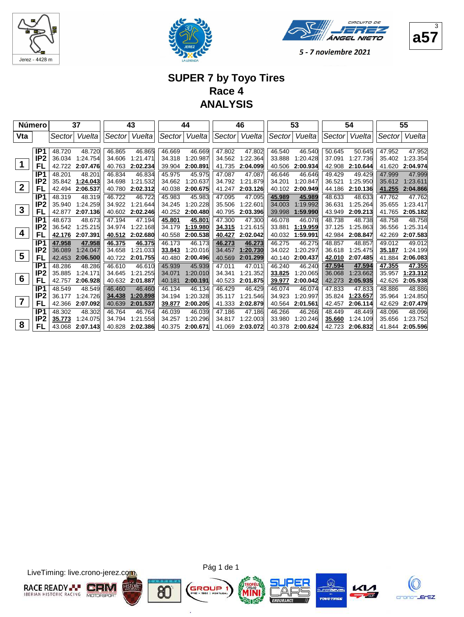





#### **SUPER 7 by Toyo Tires Race 4 ANALYSIS**

|                  | <b>Número</b>   |        | 37<br>43 |        |          | 44     |          |        | 46       | 53     |          |        | 54       |        | 55       |
|------------------|-----------------|--------|----------|--------|----------|--------|----------|--------|----------|--------|----------|--------|----------|--------|----------|
| Vta              |                 | Sector | Vuelta   | Sector | Vuelta   | Sector | Vuelta   | Sector | Vuelta   | Sector | Vuelta   | Sector | Vuelta   | Sector | Vuelta   |
|                  |                 |        |          |        |          |        |          |        |          |        |          |        |          |        |          |
|                  | IP1             | 48.720 | 48.720   | 46.865 | 46.865   | 46.669 | 46.669   | 47.802 | 47.802   | 46.540 | 46.540   | 50.645 | 50.645   | 47.952 | 47.952   |
|                  | IP <sub>2</sub> | 36.034 | 1:24.754 | 34.606 | 1:21.471 | 34.318 | 1:20.987 | 34.562 | 1:22.364 | 33.888 | 1:20.428 | 37.091 | 1:27.736 | 35.402 | 1:23.354 |
|                  | FL              | 42.722 | 2:07.476 | 40.763 | 2:02.234 | 39.904 | 2:00.891 | 41.735 | 2:04.099 | 40.506 | 2:00.934 | 42.908 | 2:10.644 | 41.620 | 2:04.974 |
|                  | IP <sub>1</sub> | 48.201 | 48.201   | 46.834 | 46.834   | 45.975 | 45.975   | 47.087 | 47.087   | 46.646 | 46.646   | 49.429 | 49.429   | 47.999 | 47.999   |
|                  | IP <sub>2</sub> | 35.842 | 1:24.043 | 34.698 | 1:21.532 | 34.662 | 1:20.637 | 34.792 | 1:21.879 | 34.201 | 1:20.847 | 36.521 | 1:25.950 | 35.612 | 1:23.611 |
| $\boldsymbol{2}$ | FL              | 42.494 | 2:06.537 | 40.780 | 2:02.312 | 40.038 | 2:00.675 | 41.247 | 2:03.126 | 40.102 | 2:00.949 | 44.186 | 2:10.136 | 41.255 | 2:04.866 |
|                  | IP <sub>1</sub> | 48.319 | 48.319   | 46.722 | 46.722   | 45.983 | 45.983   | 47.095 | 47.095   | 45.989 | 45.989   | 48.633 | 48.633   | 47.762 | 47.762   |
|                  | IP <sub>2</sub> | 35.940 | 1:24.259 | 34.922 | 1:21.644 | 34.245 | 1:20.228 | 35.506 | 1:22.601 | 34.003 | 1:19.992 | 36.631 | 1.25.264 | 35.655 | 1:23.417 |
| $\mathbf{3}$     | FL              | 42.877 | 2:07.136 | 40.602 | 2:02.246 | 40.252 | 2:00.480 | 40.795 | 2:03.396 | 39.998 | 1:59.990 | 43.949 | 2:09.213 | 41.765 | 2:05.182 |
|                  | IP <sub>1</sub> | 48.673 | 48.673   | 47.194 | 47.194   | 45.801 | 45.801   | 47.300 | 47.300   | 46.078 | 46.078   | 48.738 | 48.738   | 48.758 | 48.758   |
|                  | IP <sub>2</sub> | 36.542 | 1:25.215 | 34.974 | 1:22.168 | 34.179 | 1:19.980 | 34.315 | 1:21.615 | 33.881 | 1:19.959 | 37.125 | 1:25.863 | 36.556 | 1:25.314 |
| 4                | FL              | 42.176 | 2:07.391 | 40.512 | 2:02.680 | 40.558 | 2:00.538 | 40.427 | 2:02.042 | 40.032 | 1:59.991 | 42.984 | 2:08.847 | 42.269 | 2:07.583 |
|                  | IP1             | 47.958 | 47.958   | 46.375 | 46.375   | 46.173 | 46.173   | 46.273 | 46.273   | 46.275 | 46.275   | 48.857 | 48.857   | 49.012 | 49.012   |
|                  | IP <sub>2</sub> | 36.089 | 1:24.047 | 34.658 | 1:21.033 | 33.843 | 1:20.016 | 34.457 | 1:20.730 | 34.022 | 1:20.297 | 36.618 | 1.25.475 | 35.187 | 1:24.199 |
| 5                | FL              | 42.453 | 2:06.500 | 40.722 | 2:01.755 | 40.480 | 2:00.496 | 40.569 | 2:01.299 | 40.140 | 2:00.437 | 42.010 | 2:07.485 | 41.884 | 2:06.083 |
|                  | IP1             | 48.286 | 48.286   | 46.610 | 46.610   | 45.939 | 45.939   | 47.011 | 47.011   | 46.240 | 46.240   | 47.594 | 47.594   | 47.355 | 47.355   |
|                  | IP <sub>2</sub> | 35.885 | 1:24.171 | 34.645 | 1:21.255 | 34.071 | 1:20.010 | 34.341 | 1:21.352 | 33.825 | 1:20.065 | 36.068 | 1:23.662 | 35.957 | 1:23.312 |
| $6\phantom{1}6$  | FL              | 42.757 | 2:06.928 | 40.632 | 2:01.887 | 40.181 | 2:00.191 | 40.523 | 2:01.875 | 39.977 | 2:00.042 | 42.273 | 2:05.935 | 42.626 | 2:05.938 |
|                  | IP1             | 48.549 | 48.549   | 46.460 | 46.460   | 46.134 | 46.134   | 46.429 | 46.429   | 46.074 | 46.074   | 47.833 | 47.833   | 48.886 | 48.886   |
|                  | IP <sub>2</sub> | 36.177 | 1:24.726 | 34.438 | 1:20.898 | 34.194 | 1:20.328 | 35.117 | 1:21.546 | 34.923 | 1:20.997 | 35.824 | 1:23.657 | 35.964 | 1:24.850 |
| $\overline{7}$   | FL              | 42.366 | 2:07.092 | 40.639 | 2:01.537 | 39.877 | 2:00.205 | 41.333 | 2:02.879 | 40.564 | 2:01.561 | 42.457 | 2:06.114 | 42.629 | 2:07.479 |
|                  | IP1             | 48.302 | 48.302   | 46.764 | 46.764   | 46.039 | 46.039   | 47.186 | 47.186   | 46.266 | 46.266   | 48.449 | 48.449   | 48.096 | 48.096   |
|                  | IP <sub>2</sub> | 35.773 | 1:24.075 | 34.794 | 1:21.558 | 34.257 | 1:20.296 | 34.817 | 1:22.003 | 33.980 | 1:20.246 | 35.660 | 1:24.109 | 35.656 | 1:23.752 |
| 8                | FL              | 43.068 | 2:07.143 | 40.828 | 2:02.386 | 40.375 | 2:00.671 | 41.069 | 2:03.072 | 40.378 | 2:00.624 | 42.723 | 2:06.832 | 41.844 | 2:05.596 |

LiveTiming: live.crono-jerez.com





G

ä







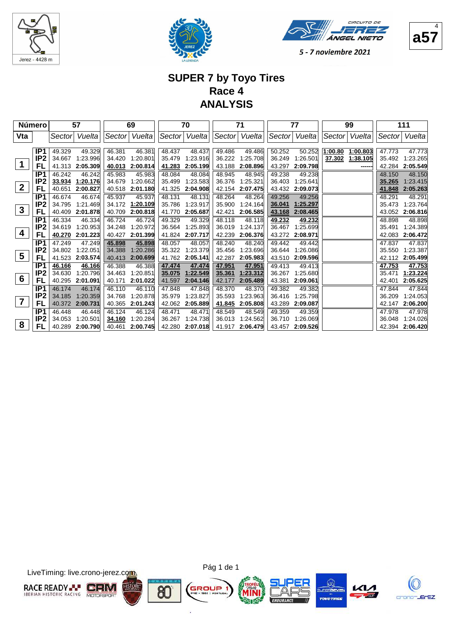





 $\overline{A}$ 

5 - 7 noviembre 2021

## **SUPER 7 by Toyo Tires Race 4 ANALYSIS**

|                  | <b>Número</b>   |         | 57<br>69<br>Sector Vuelta |        |                 | 70     |               | 71     |               | 77     |               | 99      |               |        | 111           |  |
|------------------|-----------------|---------|---------------------------|--------|-----------------|--------|---------------|--------|---------------|--------|---------------|---------|---------------|--------|---------------|--|
| Vta              |                 | Sectorl | Vueltal                   |        |                 |        | Sector Vuelta |        | Sector Vuelta |        | Sector Vuelta |         | Sector Vuelta |        | Sector Vuelta |  |
|                  |                 |         |                           |        |                 |        |               |        |               |        |               |         |               |        |               |  |
|                  | IP1             | 49.329  | 49.329                    | 46.381 | 46.381          | 48.437 | 48.437        | 49.486 | 49.486        | 50.252 | 50.252        | 1:00.80 | 1:00.803      | 47.773 | 47.773        |  |
|                  | IP2             | 34.667  | 1:23.996                  | 34.420 | 1:20.801        | 35.479 | 1.23.916      | 36.222 | 1:25.708      | 36.249 | 1:26.501      | 37.302  | 1:38.105      | 35.492 | 1:23.265      |  |
|                  | FL              | 41.313  | 2:05.309                  | 40.013 | 2:00.814        | 41.283 | 2:05.199      | 43.188 | 2:08.896      | 43.297 | 2:09.798      |         | ------        | 42.284 | 2:05.549      |  |
|                  | IP <sub>1</sub> | 46.242  | 46.242                    | 45.983 | 45.983          | 48.084 | 48.084        | 48.945 | 48.945        | 49.238 | 49.238        |         |               | 48.150 | 48.150        |  |
| $\boldsymbol{2}$ | IP <sub>2</sub> |         | 33.934 1:20.176           | 34.679 | 1:20.662        | 35.499 | 1:23.583      | 36.376 | 1:25.321      | 36.403 | 1:25.641      |         |               | 35.265 | 1:23.415      |  |
|                  | FL              | 40.651  | 2:00.827                  |        | 40.518 2:01.180 | 41.325 | 2:04.908      | 42.154 | 2:07.475      | 43.432 | 2:09.073      |         |               | 41.848 | 2:05.263      |  |
|                  | IP <sub>1</sub> | 46.674  | 46.674                    | 45.937 | 45.937          | 48.131 | 48.131        | 48.264 | 48.264        | 49.256 | 49.256        |         |               | 48.291 | 48.291        |  |
| $\mathbf{3}$     | IP <sub>2</sub> |         | 34.795 1:21.469           |        | 34.172 1:20.109 | 35.786 | 1:23.917      | 35.900 | 1:24.164      | 36.041 | 1:25.297      |         |               | 35.473 | 1:23.764      |  |
|                  | FL              | 40.409  | 2:01.878                  | 40.709 | 2:00.818        | 41.770 | 2:05.687      | 42.421 | 2:06.585      | 43.168 | 2:08.465      |         |               | 43.052 | 2:06.816      |  |
|                  | IP <sub>1</sub> | 46.334  | 46.334                    | 46.724 | 46.724          | 49.329 | 49.329        | 48.118 | 48.118        | 49.232 | 49.232        |         |               | 48.898 | 48.898        |  |
| 4                | IP <sub>2</sub> | 34.619  | 1:20.953                  | 34.248 | 1:20.972        | 36.564 | 1:25.893      | 36.019 | 1:24.137      | 36.467 | 1:25.699      |         |               | 35.491 | 1:24.389      |  |
|                  | FL              | 40.270  | 2:01.223                  | 40.427 | 2:01.399        | 41.824 | 2:07.717      | 42.239 | 2:06.376      | 43.272 | 2:08.971      |         |               | 42.083 | 2:06.472      |  |
|                  | IP <sub>1</sub> | 47.249  | 47.249                    | 45.898 | 45.898          | 48.057 | 48.057        | 48.240 | 48.240        | 49.442 | 49.442        |         |               | 47.837 | 47.837        |  |
| $5\phantom{1}$   | IP <sub>2</sub> | 34.802  | 1:22.051                  | 34.388 | 1:20.286        | 35.322 | 1:23.379      | 35.456 | 1:23.696      | 36.644 | 1:26.086      |         |               | 35.550 | 1:23.387      |  |
|                  | FL              | 41.523  | 2:03.574                  | 40.413 | 2:00.699        | 41.762 | 2:05.141      | 42.287 | 2:05.983      | 43.510 | 2:09.596      |         |               | 42.112 | 2:05.499      |  |
|                  | IP <sub>1</sub> | 46.166  | 46.166                    | 46.388 | 46.388          | 47.474 | 47.474        | 47.951 | 47.951        | 49.413 | 49.413        |         |               | 47.753 | 47.753        |  |
| $6\phantom{1}6$  | IP <sub>2</sub> | 34.630  | 1:20.796                  | 34.463 | 1:20.851        | 35.075 | 1:22.549      | 35.361 | 1:23.312      | 36.267 | 1:25.680      |         |               | 35.471 | 1:23.224      |  |
|                  | FL              | 40.295  | 2:01.091                  | 40.171 | 2:01.022        | 41.597 | 2:04.146      | 42.177 | 2:05.489      | 43.381 | 2:09.061      |         |               | 42.401 | 2:05.625      |  |
|                  | IP <sub>1</sub> | 46.174  | 46.174                    | 46.110 | 46.110          | 47.848 | 47.848        | 48.370 | 48.370        | 49.382 | 49.382        |         |               | 47.844 | 47.844        |  |
| $\overline{7}$   | IP <sub>2</sub> | 34.185  | 1:20.359                  | 34.768 | 1:20.878        | 35.979 | 1:23.827      | 35.593 | 1:23.963      | 36.416 | 1:25.798      |         |               | 36.209 | 1:24.053      |  |
|                  | FL              |         | 40.372 2:00.731           | 40.365 | 2:01.243        | 42.062 | 2:05.889      | 41.845 | 2:05.808      | 43.289 | 2:09.087      |         |               | 42.147 | 2:06.200      |  |
|                  | IP <sub>1</sub> | 46.448  | 46.448                    | 46.124 | 46.124          | 48.471 | 48.471        | 48.549 | 48.549        | 49.359 | 49.359        |         |               | 47.978 | 47.978        |  |
|                  | IP <sub>2</sub> | 34.053  | 1:20.501                  | 34.160 | 1:20.284        | 36.267 | 1:24.738      | 36.013 | 1:24.562      | 36.710 | 1:26.069      |         |               | 36.048 | 1:24.026      |  |
| 8                | FL              | 40.289  | 2:00.790                  | 40.461 | 2:00.745        | 42.280 | 2:07.018      | 41.917 | 2:06.479      | 43.457 | 2:09.526      |         |               | 42.394 | 2:06.420      |  |

LiveTiming: live.crono-jerez.com





ä







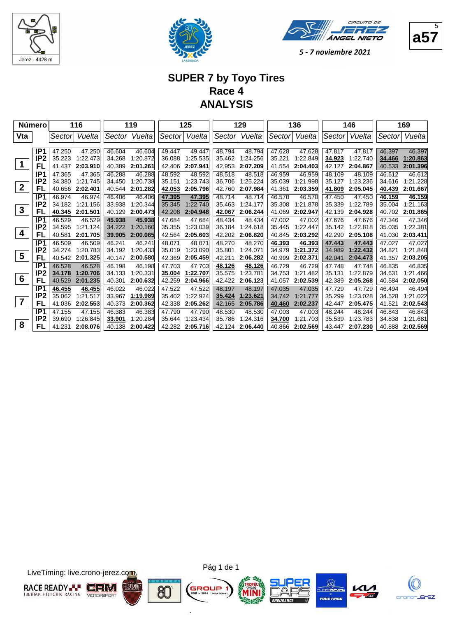





**a57**  $\overline{5}$ 

#### **SUPER 7 by Toyo Tires Race 4 ANALYSIS**

|                         | <b>Número</b>   | 116<br>Sector<br>47.250<br>47.250<br>35.223 |          | 119    |          |        | 125      |        | 129      |        | 136      |        | 146      |        | 169      |
|-------------------------|-----------------|---------------------------------------------|----------|--------|----------|--------|----------|--------|----------|--------|----------|--------|----------|--------|----------|
| Vta                     |                 |                                             | Vuelta   | Sector | Vuelta   | Sector | Vuelta   | Sector | Vuelta   | Sector | Vuelta   | Sector | Vuelta   | Sector | Vuelta   |
|                         |                 |                                             |          |        |          |        |          |        |          |        |          |        |          |        |          |
|                         | IP <sub>1</sub> |                                             |          | 46.604 | 46.604   | 49.447 | 49.447   | 48.794 | 48.794   | 47.628 | 47.628   | 47.817 | 47.817   | 46.397 | 46.397   |
|                         | IP <sub>2</sub> |                                             | 1:22.473 | 34.268 | 1:20.872 | 36.088 | 1:25.535 | 35.462 | 1:24.256 | 35.221 | 1:22.849 | 34.923 | 1:22.740 | 34.466 | 1:20.863 |
|                         | FL              | 41.437                                      | 2:03.910 | 40.389 | 2:01.261 | 42.406 | 2:07.941 | 42.953 | 2:07.209 | 41.554 | 2:04.403 | 42.127 | 2:04.867 | 40.533 | 2:01.396 |
|                         | IP <sub>1</sub> | 47.365                                      | 47.365   | 46.288 | 46.288   | 48.592 | 48.592   | 48.518 | 48.518   | 46.959 | 46.959   | 48.109 | 48.109   | 46.612 | 46.612   |
|                         | IP <sub>2</sub> | 34.380                                      | 1:21.745 | 34.450 | 1:20.738 | 35.151 | 1:23.743 | 36.706 | 1:25.224 | 35.039 | 1:21.998 | 35.127 | 1:23.236 | 34.616 | 1:21.228 |
| $\boldsymbol{2}$        | FL              | 40.656                                      | 2:02.401 | 40.544 | 2:01.282 | 42.053 | 2:05.796 | 42.760 | 2:07.984 | 41.361 | 2:03.359 | 41.809 | 2:05.045 | 40.439 | 2:01.667 |
|                         | IP <sub>1</sub> | 46.974                                      | 46.974   | 46.406 | 46.406   | 47.395 | 47.395   | 48.714 | 48.714   | 46.570 | 46.570   | 47.450 | 47.450   | 46.159 | 46.159   |
|                         | IP <sub>2</sub> | 34.182                                      | 1.21.156 | 33.938 | 1:20.344 | 35.345 | 1:22.740 | 35.463 | 1:24.177 | 35.308 | 1:21.878 | 35.339 | 1:22.789 | 35.004 | 1:21.163 |
| $\mathbf{3}$            | FL              | 40.345                                      | 2:01.501 | 40.129 | 2:00.473 | 42.208 | 2:04.948 | 42.067 | 2:06.244 | 41.069 | 2:02.947 | 42.139 | 2:04.928 | 40.702 | 2:01.865 |
|                         | IP <sub>1</sub> | 46.529                                      | 46.529   | 45.938 | 45.938   | 47.684 | 47.684   | 48.434 | 48.434   | 47.002 | 47.002   | 47.676 | 47.676   | 47.346 | 47.346   |
|                         | IP <sub>2</sub> | 34.595                                      | 1:21.124 | 34.222 | 1:20.160 | 35.355 | 1:23.039 | 36.184 | 1:24.618 | 35.445 | 1:22.447 | 35.142 | 1:22.818 | 35.035 | 1:22.381 |
| 4                       | FL              | 40.581                                      | 2:01.705 | 39.905 | 2:00.065 | 42.564 | 2:05.603 | 42.202 | 2:06.820 | 40.845 | 2:03.292 | 42.290 | 2:05.108 | 41.030 | 2:03.411 |
|                         | IP1             | 46.509                                      | 46.509   | 46.241 | 46.241   | 48.071 | 48.071   | 48.270 | 48.270   | 46.393 | 46.393   | 47.443 | 47.443   | 47.027 | 47.027   |
|                         | IP <sub>2</sub> | 34.274                                      | 1:20.783 | 34.192 | 1:20.433 | 35.019 | 1:23.090 | 35.801 | 1:24.071 | 34.979 | 1:21.372 | 34.989 | 1:22.432 | 34.821 | 1:21.848 |
| $\overline{\mathbf{5}}$ | FL              | 40.542                                      | 2:01.325 | 40.147 | 2:00.580 | 42.369 | 2:05.459 | 42.211 | 2:06.282 | 40.999 | 2:02.371 | 42.041 | 2:04.473 | 41.357 | 2:03.205 |
|                         | IP1             | 46.528                                      | 46.528   | 46.198 | 46.198   | 47.703 | 47.703   | 48.126 | 48.126   | 46.729 | 46.729   | 47.748 | 47.748   | 46.835 | 46.835   |
|                         | IP <sub>2</sub> | 34.178                                      | 1:20.706 | 34.133 | 1:20.331 | 35.004 | 1:22.707 | 35.575 | 1:23.701 | 34.753 | 1:21.482 | 35.131 | 1:22.879 | 34.631 | 1:21.466 |
| 6                       | FL              | 40.529                                      | 2:01.235 | 40.301 | 2:00.632 | 42.259 | 2:04.966 | 42.422 | 2:06.123 | 41.057 | 2:02.539 | 42.389 | 2:05.268 | 40.584 | 2:02.050 |
|                         | IP <sub>1</sub> | 46.455                                      | 46.455   | 46.022 | 46.022   | 47.522 | 47.522   | 48.197 | 48.197   | 47.035 | 47.035   | 47.729 | 47.729   | 46.494 | 46.494   |
|                         | IP <sub>2</sub> | 35.062                                      | 1:21.517 | 33.967 | 1:19.989 | 35.402 | 1:22.924 | 35.424 | 1:23.621 | 34.742 | 1:21.777 | 35.299 | 1:23.028 | 34.528 | 1:21.022 |
| $\overline{7}$          | FL              | 41.036                                      | 2:02.553 | 40.373 | 2:00.362 | 42.338 | 2:05.262 | 42.165 | 2:05.786 | 40.460 | 2:02.237 | 42.447 | 2:05.475 | 41.521 | 2:02.543 |
|                         | IP <sub>1</sub> | 47.155                                      | 47.155   | 46.383 | 46.383   | 47.790 | 47.790   | 48.530 | 48.530   | 47.003 | 47.003   | 48.244 | 48.244   | 46.843 | 46.843   |
|                         | IP <sub>2</sub> | 39.690                                      | 1:26.845 | 33.901 | 1:20.284 | 35.644 | 1:23.434 | 35.786 | 1:24.316 | 34.700 | 1:21.703 | 35.539 | 1:23.783 | 34.838 | 1:21.681 |
| 8                       | FL              | 41.231                                      | 2:08.076 | 40.138 | 2:00.422 | 42.282 | 2:05.716 | 42.124 | 2:06.440 | 40.866 | 2:02.569 | 43.447 | 2:07.230 | 40.888 | 2:02.569 |

LiveTiming: live.crono-jerez.com





G

ä





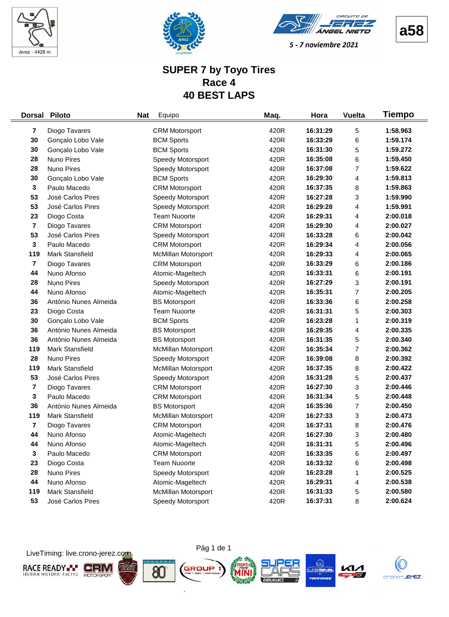





**a58**

#### **SUPER 7 by Toyo Tires Race 4 40 BEST LAPS**

| <b>Dorsal</b>           | <b>Piloto</b>          | <b>Nat</b> | Equipo                     | Maq. | Hora     | <b>Vuelta</b> | Tiempo   |
|-------------------------|------------------------|------------|----------------------------|------|----------|---------------|----------|
| 7                       | Diogo Tavares          |            | <b>CRM Motorsport</b>      | 420R | 16:31:29 | 5             | 1:58.963 |
| 30                      | Gonçalo Lobo Vale      |            | <b>BCM Sports</b>          | 420R | 16:33:29 | 6             | 1:59.174 |
| 30                      | Gonçalo Lobo Vale      |            | <b>BCM Sports</b>          | 420R | 16:31:30 | 5             | 1:59.272 |
| 28                      | Nuno Pires             |            | Speedy Motorsport          | 420R | 16:35:08 | 6             | 1:59.450 |
| 28                      | Nuno Pires             |            | Speedy Motorsport          | 420R | 16:37:08 | 7             | 1:59.622 |
| 30                      | Gonçalo Lobo Vale      |            | <b>BCM Sports</b>          | 420R | 16:29:30 | 4             | 1:59.813 |
| 3                       | Paulo Macedo           |            | <b>CRM Motorsport</b>      | 420R | 16:37:35 | 8             | 1:59.863 |
| 53                      | José Carlos Pires      |            | Speedy Motorsport          | 420R | 16:27:28 | 3             | 1:59.990 |
| 53                      | José Carlos Pires      |            | Speedy Motorsport          | 420R | 16:29:28 | 4             | 1:59.991 |
| 23                      | Diogo Costa            |            | <b>Team Nuoorte</b>        | 420R | 16:29:31 | 4             | 2:00.018 |
| $\overline{\mathbf{7}}$ | Diogo Tavares          |            | <b>CRM Motorsport</b>      | 420R | 16:29:30 | 4             | 2:00.027 |
| 53                      | José Carlos Pires      |            | Speedy Motorsport          | 420R | 16:33:28 | 6             | 2:00.042 |
| 3                       | Paulo Macedo           |            | <b>CRM Motorsport</b>      | 420R | 16:29:34 | 4             | 2:00.056 |
| 119                     | Mark Stansfield        |            | <b>McMillan Motorsport</b> | 420R | 16:29:33 | 4             | 2:00.065 |
| 7                       | Diogo Tavares          |            | <b>CRM Motorsport</b>      | 420R | 16:33:29 | 6             | 2:00.186 |
| 44                      | Nuno Afonso            |            | Atomic-Mageltech           | 420R | 16:33:31 | 6             | 2:00.191 |
| 28                      | Nuno Pires             |            | Speedy Motorsport          | 420R | 16:27:29 | 3             | 2:00.191 |
| 44                      | Nuno Afonso            |            | Atomic-Mageltech           | 420R | 16:35:31 | 7             | 2:00.205 |
| 36                      | António Nunes Almeida  |            | <b>BS Motorsport</b>       | 420R | 16:33:36 | 6             | 2:00.258 |
| 23                      | Diogo Costa            |            | <b>Team Nuoorte</b>        | 420R | 16:31:31 | 5             | 2:00.303 |
| 30                      | Gonçalo Lobo Vale      |            | <b>BCM Sports</b>          | 420R | 16:23:28 | 1             | 2:00.319 |
| 36                      | António Nunes Almeida  |            | <b>BS Motorsport</b>       | 420R | 16:29:35 | 4             | 2:00.335 |
| 36                      | António Nunes Almeida  |            | <b>BS Motorsport</b>       | 420R | 16:31:35 | 5             | 2:00.340 |
| 119                     | Mark Stansfield        |            | McMillan Motorsport        | 420R | 16:35:34 | 7             | 2:00.362 |
| 28                      | Nuno Pires             |            | Speedy Motorsport          | 420R | 16:39:08 | 8             | 2:00.392 |
| 119                     | <b>Mark Stansfield</b> |            | <b>McMillan Motorsport</b> | 420R | 16:37:35 | 8             | 2:00.422 |
| 53                      | José Carlos Pires      |            | Speedy Motorsport          | 420R | 16:31:28 | 5             | 2:00.437 |
| 7                       | Diogo Tavares          |            | <b>CRM Motorsport</b>      | 420R | 16:27:30 | 3             | 2:00.446 |
| 3                       | Paulo Macedo           |            | <b>CRM Motorsport</b>      | 420R | 16:31:34 | 5             | 2:00.448 |
| 36                      | António Nunes Almeida  |            | <b>BS Motorsport</b>       | 420R | 16:35:36 | 7             | 2:00.450 |
| 119                     | Mark Stansfield        |            | <b>McMillan Motorsport</b> | 420R | 16:27:33 | 3             | 2:00.473 |
| 7                       | Diogo Tavares          |            | <b>CRM Motorsport</b>      | 420R | 16:37:31 | 8             | 2:00.476 |
| 44                      | Nuno Afonso            |            | Atomic-Mageltech           | 420R | 16:27:30 | 3             | 2:00.480 |
| 44                      | Nuno Afonso            |            | Atomic-Mageltech           | 420R | 16:31:31 | 5             | 2:00.496 |
| 3                       | Paulo Macedo           |            | <b>CRM Motorsport</b>      | 420R | 16:33:35 | 6             | 2:00.497 |
| 23                      | Diogo Costa            |            | <b>Team Nuoorte</b>        | 420R | 16:33:32 | 6             | 2:00.498 |
| 28                      | Nuno Pires             |            | Speedy Motorsport          | 420R | 16:23:28 | 1             | 2:00.525 |
| 44                      | Nuno Afonso            |            | Atomic-Mageltech           | 420R | 16:29:31 | 4             | 2:00.538 |
| 119                     | Mark Stansfield        |            | McMillan Motorsport        | 420R | 16:31:33 | 5             | 2:00.580 |
| 53                      | José Carlos Pires      |            | Speedy Motorsport          | 420R | 16:37:31 | 8             | 2:00.624 |

LiveTiming: live.crono-jerez.com



i.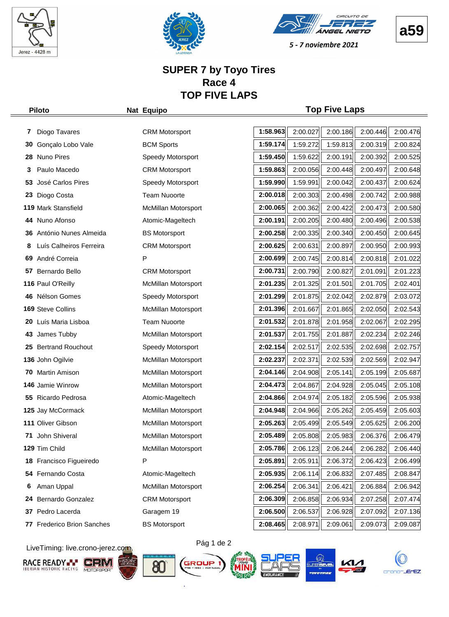





5 - 7 noviembre 2021

#### **SUPER 7 by Toyo Tires Race 4 TOP FIVE LAPS**

#### **Piloto Nat Equipo Top Five Laps**

| 7   | Diogo Tavares              | <b>CRM Motorsport</b>      | 1:58.963 | 2:00.027 | 2:00.186 | 2:00.446 | 2:00.476 |
|-----|----------------------------|----------------------------|----------|----------|----------|----------|----------|
| 30  | Gonçalo Lobo Vale          | <b>BCM Sports</b>          | 1:59.174 | 1:59.272 | 1:59.813 | 2:00.319 | 2:00.824 |
| 28  | Nuno Pires                 | Speedy Motorsport          | 1:59.450 | 1:59.622 | 2:00.191 | 2:00.392 | 2:00.525 |
| 3   | Paulo Macedo               | <b>CRM Motorsport</b>      | 1:59.863 | 2:00.056 | 2:00.448 | 2:00.497 | 2:00.648 |
| 53  | José Carlos Pires          | Speedy Motorsport          | 1:59.990 | 1:59.991 | 2:00.042 | 2:00.437 | 2:00.624 |
| 23  | Diogo Costa                | <b>Team Nuoorte</b>        | 2:00.018 | 2:00.303 | 2:00.498 | 2:00.742 | 2:00.988 |
|     | 119 Mark Stansfield        | McMillan Motorsport        | 2:00.065 | 2:00.362 | 2:00.422 | 2:00.473 | 2:00.580 |
|     | 44 Nuno Afonso             | Atomic-Mageltech           | 2:00.191 | 2:00.205 | 2:00.480 | 2:00.496 | 2:00.538 |
|     | 36 António Nunes Almeida   | <b>BS Motorsport</b>       | 2:00.258 | 2:00.335 | 2:00.340 | 2:00.450 | 2:00.645 |
| 8   | Luís Calheiros Ferreira    | <b>CRM Motorsport</b>      | 2:00.625 | 2:00.631 | 2:00.897 | 2:00.950 | 2:00.993 |
| 69  | André Correia              | P                          | 2:00.699 | 2:00.745 | 2:00.814 | 2:00.818 | 2:01.022 |
|     | 57 Bernardo Bello          | <b>CRM Motorsport</b>      | 2:00.731 | 2:00.790 | 2:00.827 | 2:01.091 | 2:01.223 |
|     | 116 Paul O'Reilly          | McMillan Motorsport        | 2:01.235 | 2:01.325 | 2:01.501 | 2:01.705 | 2:02.401 |
|     | 46 Nélson Gomes            | Speedy Motorsport          | 2:01.299 | 2:01.875 | 2:02.042 | 2:02.879 | 2:03.072 |
|     | 169 Steve Collins          | McMillan Motorsport        | 2:01.396 | 2:01.667 | 2:01.865 | 2:02.050 | 2:02.543 |
| 20  | Luís Maria Lisboa          | <b>Team Nuoorte</b>        | 2:01.532 | 2:01.878 | 2:01.958 | 2:02.067 | 2:02.295 |
|     | 43 James Tubby             | McMillan Motorsport        | 2:01.537 | 2:01.755 | 2:01.887 | 2:02.234 | 2:02.246 |
|     | 25 Bertrand Rouchout       | Speedy Motorsport          | 2:02.154 | 2:02.517 | 2:02.535 | 2:02.698 | 2:02.757 |
|     | 136 John Ogilvie           | McMillan Motorsport        | 2:02.237 | 2:02.371 | 2:02.539 | 2:02.569 | 2:02.947 |
| 70. | Martin Amison              | <b>McMillan Motorsport</b> | 2:04.146 | 2:04.908 | 2:05.141 | 2:05.199 | 2:05.687 |
|     | 146 Jamie Winrow           | <b>McMillan Motorsport</b> | 2:04.473 | 2:04.867 | 2:04.928 | 2:05.045 | 2:05.108 |
|     | 55 Ricardo Pedrosa         | Atomic-Mageltech           | 2:04.866 | 2:04.974 | 2:05.182 | 2:05.596 | 2:05.938 |
|     | 125 Jay McCormack          | McMillan Motorsport        | 2:04.948 | 2:04.966 | 2:05.262 | 2:05.459 | 2:05.603 |
|     | 111 Oliver Gibson          | McMillan Motorsport        | 2:05.263 | 2:05.499 | 2:05.549 | 2:05.625 | 2:06.200 |
| 71  | John Shiveral              | McMillan Motorsport        | 2:05.489 | 2:05.808 | 2:05.983 | 2:06.376 | 2:06.479 |
|     | 129 Tim Child              | McMillan Motorsport        | 2:05.786 | 2:06.123 | 2:06.244 | 2:06.282 | 2:06.440 |
|     | 18 Francisco Figueiredo    | Ρ                          | 2:05.891 | 2:05.911 | 2:06.372 | 2:06.423 | 2:06.499 |
|     | 54 Fernando Costa          | Atomic-Mageltech           | 2:05.935 | 2:06.114 | 2:06.832 | 2:07.485 | 2:08.847 |
| 6   | Aman Uppal                 | McMillan Motorsport        | 2:06.254 | 2:06.341 | 2:06.421 | 2:06.884 | 2:06.942 |
| 24  | Bernardo Gonzalez          | <b>CRM Motorsport</b>      | 2:06.309 | 2:06.858 | 2:06.934 | 2:07.258 | 2:07.474 |
| 37  | Pedro Lacerda              | Garagem 19                 | 2:06.500 | 2:06.537 | 2:06.928 | 2:07.092 | 2:07.136 |
|     | 77 Frederico Brion Sanches | <b>BS Motorsport</b>       | 2:08.465 | 2:08.971 | 2:09.061 | 2:09.073 | 2:09.087 |

LiveTiming: live.crono-jerez.com















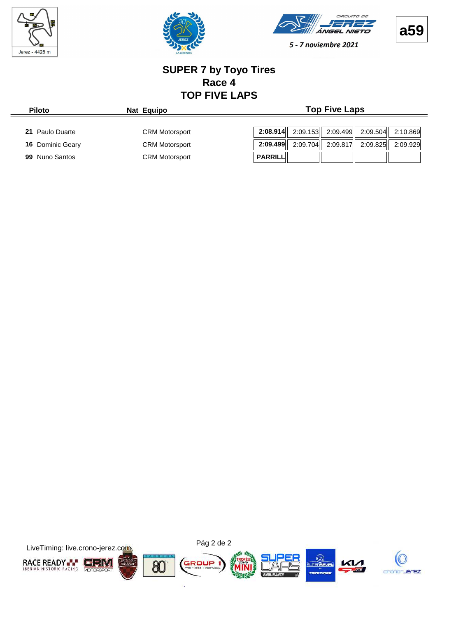

 $=$ 







5 - 7 noviembre 2021

#### **SUPER 7 by Toyo Tires Race 4 TOP FIVE LAPS**

| <b>Piloto</b>    | Nat Equipo            | <b>Top Five Laps</b>                                     |
|------------------|-----------------------|----------------------------------------------------------|
| 21 Paulo Duarte  | <b>CRM Motorsport</b> | 2:08.914<br>2:09.153 2:09.499 2:09.504<br>2:10.869       |
| 16 Dominic Geary | <b>CRM Motorsport</b> | 2:09.499<br>2:09.704<br>2:09.817<br>2:09.825<br>2:09.929 |
| 99 Nuno Santos   | <b>CRM Motorsport</b> | PARRILL                                                  |

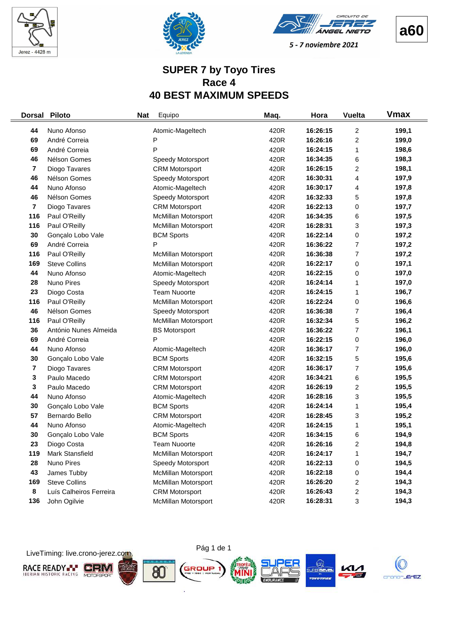





**a60**

#### **SUPER 7 by Toyo Tires Race 4 40 BEST MAXIMUM SPEEDS**

| <b>Dorsal</b> | <b>Piloto</b>           | <b>Nat</b> | Equipo                     | Maq. | Hora     | <b>Vuelta</b>           | <b>Vmax</b> |
|---------------|-------------------------|------------|----------------------------|------|----------|-------------------------|-------------|
| 44            | Nuno Afonso             |            | Atomic-Mageltech           | 420R | 16:26:15 | 2                       | 199,1       |
| 69            | André Correia           |            | P                          | 420R | 16:26:16 | $\overline{\mathbf{c}}$ | 199,0       |
| 69            | André Correia           |            | P                          | 420R | 16:24:15 | 1                       | 198,6       |
| 46            | Nélson Gomes            |            | Speedy Motorsport          | 420R | 16:34:35 | 6                       | 198,3       |
| 7             | Diogo Tavares           |            | <b>CRM Motorsport</b>      | 420R | 16:26:15 | 2                       | 198,1       |
| 46            | Nélson Gomes            |            | Speedy Motorsport          | 420R | 16:30:31 | 4                       | 197,9       |
| 44            | Nuno Afonso             |            | Atomic-Mageltech           | 420R | 16:30:17 | 4                       | 197,8       |
| 46            | Nélson Gomes            |            | Speedy Motorsport          | 420R | 16:32:33 | 5                       | 197,8       |
| 7             | Diogo Tavares           |            | <b>CRM Motorsport</b>      | 420R | 16:22:13 | 0                       | 197,7       |
| 116           | Paul O'Reilly           |            | McMillan Motorsport        | 420R | 16:34:35 | 6                       | 197,5       |
| 116           | Paul O'Reilly           |            | <b>McMillan Motorsport</b> | 420R | 16:28:31 | 3                       | 197,3       |
| 30            | Gonçalo Lobo Vale       |            | <b>BCM Sports</b>          | 420R | 16:22:14 | 0                       | 197,2       |
| 69            | André Correia           |            | P                          | 420R | 16:36:22 | $\overline{7}$          | 197,2       |
| 116           | Paul O'Reilly           |            | McMillan Motorsport        | 420R | 16:36:38 | 7                       | 197,2       |
| 169           | <b>Steve Collins</b>    |            | <b>McMillan Motorsport</b> | 420R | 16:22:17 | 0                       | 197,1       |
| 44            | Nuno Afonso             |            | Atomic-Mageltech           | 420R | 16:22:15 | 0                       | 197,0       |
| 28            | Nuno Pires              |            | Speedy Motorsport          | 420R | 16:24:14 | 1                       | 197,0       |
| 23            | Diogo Costa             |            | <b>Team Nuoorte</b>        | 420R | 16:24:15 | 1                       | 196,7       |
| 116           | Paul O'Reilly           |            | McMillan Motorsport        | 420R | 16:22:24 | 0                       | 196,6       |
| 46            | Nélson Gomes            |            | Speedy Motorsport          | 420R | 16:36:38 | 7                       | 196,4       |
| 116           | Paul O'Reilly           |            | McMillan Motorsport        | 420R | 16:32:34 | 5                       | 196,2       |
| 36            | António Nunes Almeida   |            | <b>BS Motorsport</b>       | 420R | 16:36:22 | 7                       | 196,1       |
| 69            | André Correia           |            | P                          | 420R | 16:22:15 | 0                       | 196,0       |
| 44            | Nuno Afonso             |            | Atomic-Mageltech           | 420R | 16:36:17 | 7                       | 196,0       |
| 30            | Gonçalo Lobo Vale       |            | <b>BCM Sports</b>          | 420R | 16:32:15 | 5                       | 195,6       |
| 7             | Diogo Tavares           |            | <b>CRM Motorsport</b>      | 420R | 16:36:17 | 7                       | 195,6       |
| 3             | Paulo Macedo            |            | <b>CRM Motorsport</b>      | 420R | 16:34:21 | 6                       | 195,5       |
| 3             | Paulo Macedo            |            | <b>CRM Motorsport</b>      | 420R | 16:26:19 | $\overline{\mathbf{c}}$ | 195,5       |
| 44            | Nuno Afonso             |            | Atomic-Mageltech           | 420R | 16:28:16 | 3                       | 195,5       |
| 30            | Gonçalo Lobo Vale       |            | <b>BCM Sports</b>          | 420R | 16:24:14 | 1                       | 195,4       |
| 57            | Bernardo Bello          |            | <b>CRM Motorsport</b>      | 420R | 16:28:45 | 3                       | 195,2       |
| 44            | Nuno Afonso             |            | Atomic-Mageltech           | 420R | 16:24:15 | 1                       | 195,1       |
| 30            | Gonçalo Lobo Vale       |            | <b>BCM Sports</b>          | 420R | 16:34:15 | 6                       | 194,9       |
| 23            | Diogo Costa             |            | <b>Team Nuoorte</b>        | 420R | 16:26:16 | $\overline{c}$          | 194,8       |
| 119           | Mark Stansfield         |            | McMillan Motorsport        | 420R | 16:24:17 | 1                       | 194,7       |
| 28            | Nuno Pires              |            | Speedy Motorsport          | 420R | 16:22:13 | 0                       | 194,5       |
| 43            | James Tubby             |            | <b>McMillan Motorsport</b> | 420R | 16:22:18 | 0                       | 194,4       |
| 169           | <b>Steve Collins</b>    |            | McMillan Motorsport        | 420R | 16:26:20 | 2                       | 194,3       |
| 8             | Luís Calheiros Ferreira |            | <b>CRM Motorsport</b>      | 420R | 16:26:43 | $\overline{c}$          | 194,3       |
| 136           | John Ogilvie            |            | <b>McMillan Motorsport</b> | 420R | 16:28:31 | 3                       | 194,3       |

LiveTiming: live.crono-jerez.com



ò.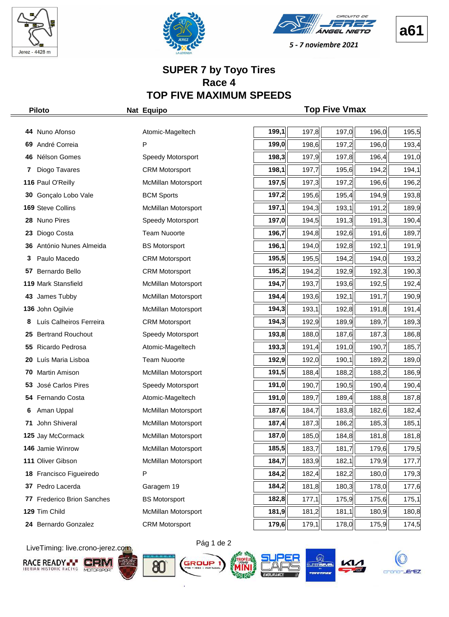





#### **SUPER 7 by Toyo Tires Race 4 TOP FIVE MAXIMUM SPEEDS**

|    | <b>Piloto</b>              | Nat Equipo                 |       |       | <b>Top Five Vmax</b> |       |       |
|----|----------------------------|----------------------------|-------|-------|----------------------|-------|-------|
|    | 44 Nuno Afonso             | Atomic-Mageltech           | 199,1 | 197,8 | 197,0                | 196,0 | 195,5 |
|    |                            | P                          | 199,0 |       |                      |       |       |
| 69 | André Correia              |                            |       | 198,6 | 197,2                | 196,0 | 193,4 |
|    | 46 Nélson Gomes            | Speedy Motorsport          | 198,3 | 197,9 | 197,8                | 196,4 | 191,0 |
| 7  | Diogo Tavares              | <b>CRM Motorsport</b>      | 198,1 | 197,7 | 195,6                | 194,2 | 194,1 |
|    | 116 Paul O'Reilly          | McMillan Motorsport        | 197,5 | 197,3 | 197,2                | 196,6 | 196,2 |
| 30 | Gonçalo Lobo Vale          | <b>BCM Sports</b>          | 197,2 | 195,6 | 195,4                | 194,9 | 193,8 |
|    | 169 Steve Collins          | McMillan Motorsport        | 197,1 | 194,3 | 193,1                | 191,2 | 189,9 |
|    | 28 Nuno Pires              | Speedy Motorsport          | 197,0 | 194,5 | 191,3                | 191,3 | 190,4 |
| 23 | Diogo Costa                | <b>Team Nuoorte</b>        | 196,7 | 194,8 | 192,6                | 191,6 | 189,7 |
| 36 | António Nunes Almeida      | <b>BS Motorsport</b>       | 196,1 | 194,0 | 192,8                | 192,1 | 191,9 |
| 3  | Paulo Macedo               | <b>CRM Motorsport</b>      | 195,5 | 195,5 | 194,2                | 194,0 | 193,2 |
| 57 | Bernardo Bello             | <b>CRM Motorsport</b>      | 195,2 | 194,2 | 192,9                | 192,3 | 190,3 |
|    | 119 Mark Stansfield        | McMillan Motorsport        | 194,7 | 193,7 | 193,6                | 192,5 | 192,4 |
| 43 | James Tubby                | McMillan Motorsport        | 194,4 | 193,6 | 192,1                | 191,7 | 190,9 |
|    | 136 John Ogilvie           | McMillan Motorsport        | 194,3 | 193,1 | 192,8                | 191,8 | 191,4 |
|    | Luís Calheiros Ferreira    | <b>CRM Motorsport</b>      | 194,3 | 192,9 | 189,9                | 189,7 | 189,3 |
| 25 | <b>Bertrand Rouchout</b>   | Speedy Motorsport          | 193,8 | 188,0 | 187,6                | 187,3 | 186,8 |
| 55 | Ricardo Pedrosa            | Atomic-Mageltech           | 193,3 | 191,4 | 191,0                | 190,7 | 185,7 |
| 20 | Luís Maria Lisboa          | <b>Team Nuoorte</b>        | 192,9 | 192,0 | 190,1                | 189,2 | 189,0 |
| 70 | Martin Amison              | McMillan Motorsport        | 191,5 | 188,4 | 188,2                | 188,2 | 186,9 |
| 53 | José Carlos Pires          | Speedy Motorsport          | 191,0 | 190,7 | 190,5                | 190,4 | 190,4 |
|    | 54 Fernando Costa          | Atomic-Mageltech           | 191,0 | 189,7 | 189,4                | 188,8 | 187,8 |
|    | Aman Uppal                 | McMillan Motorsport        | 187,6 | 184,7 | 183,8                | 182,6 | 182,4 |
| 71 | John Shiveral              | <b>McMillan Motorsport</b> | 187,4 | 187,3 | 186,2                | 185,3 | 185,1 |
|    | 125 Jay McCormack          | McMillan Motorsport        | 187,0 | 185,0 | 184,8                | 181,8 | 181,8 |
|    | 146 Jamie Winrow           | <b>McMillan Motorsport</b> | 185,5 | 183,7 | 181,7                | 179,6 | 179,5 |
|    | 111 Oliver Gibson          | McMillan Motorsport        | 184,7 | 183,9 | 182,1                | 179,9 | 177,7 |
|    | 18 Francisco Figueiredo    | P                          | 184,2 | 182,4 | 182,2                | 180,0 | 179,3 |
| 37 | Pedro Lacerda              | Garagem 19                 | 184,2 | 181,8 | 180,3                | 178,0 | 177,6 |
|    | 77 Frederico Brion Sanches | <b>BS Motorsport</b>       | 182,8 | 177,1 | 175,9                | 175,6 | 175,1 |
|    | 129 Tim Child              | McMillan Motorsport        | 181,9 | 181,2 | 181,1                | 180,9 | 180,8 |
|    | 24 Bernardo Gonzalez       | <b>CRM Motorsport</b>      | 179,6 | 179,1 | 178,0                | 175,9 | 174,5 |

LiveTiming: live.crono-jerez.com















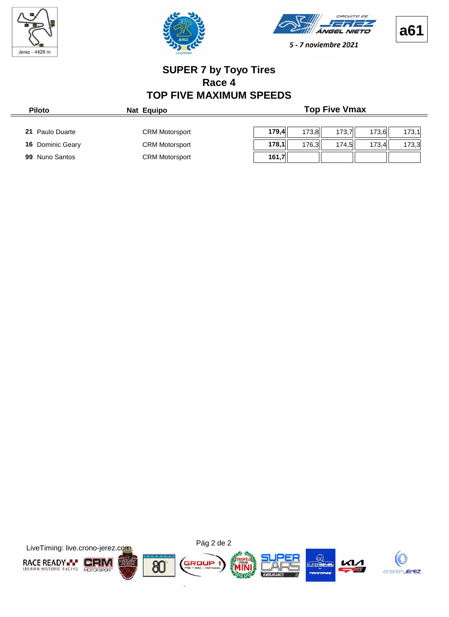

 $\frac{1}{2}$ 







5 - 7 noviembre 2021

#### **SUPER 7 by Toyo Tires Race 4 TOP FIVE MAXIMUM SPEEDS**

| <b>Piloto</b>           | Nat Equipo            | <b>Top Five Vmax</b>                      |  |
|-------------------------|-----------------------|-------------------------------------------|--|
| 21 Paulo Duarte         | <b>CRM Motorsport</b> | 179.4<br>173.6<br>173.1<br>173.8<br>173.7 |  |
| <b>16 Dominic Geary</b> | <b>CRM Motorsport</b> | 178,1<br>173.3<br>173.4<br>176.3<br>174.5 |  |
| 99 Nuno Santos          | <b>CRM Motorsport</b> | 161,7                                     |  |